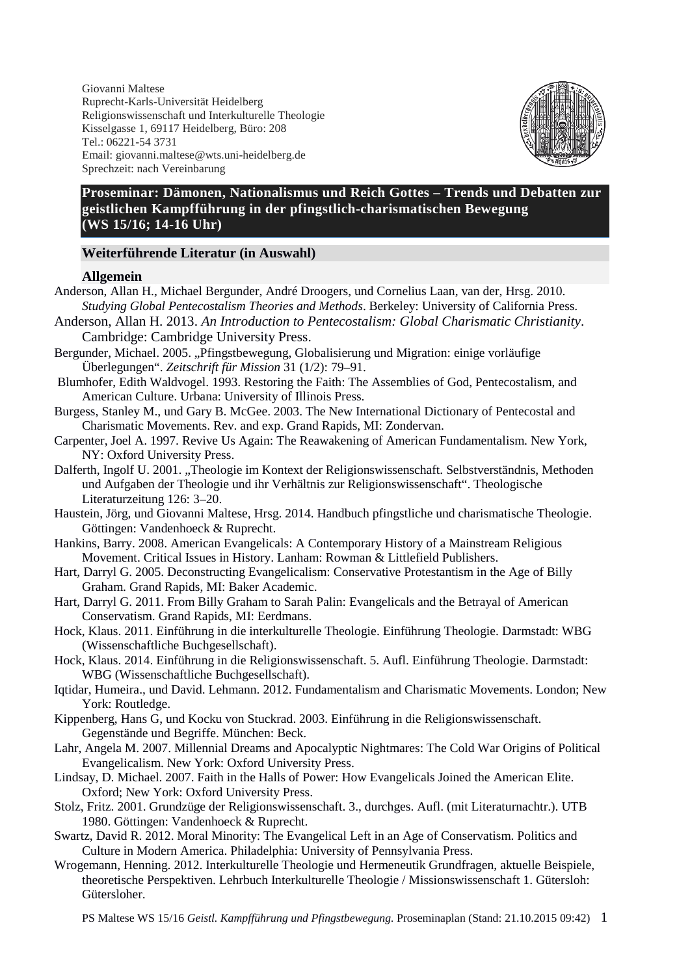Giovanni Maltese Ruprecht-Karls-Universität Heidelberg Religionswissenschaft und Interkulturelle Theologie Kisselgasse 1, 69117 Heidelberg, Büro: 208 Tel.: 06221-54 3731 Email: giovanni.maltese@wts.uni-heidelberg.de Sprechzeit: nach Vereinbarung



# **Proseminar: Dämonen, Nationalismus und Reich Gottes – Trends und Debatten zur geistlichen Kampfführung in der pfingstlich-charismatischen Bewegung (WS 15/16; 14-16 Uhr)**

## **Weiterführende Literatur (in Auswahl)**

### **Allgemein**

- Anderson, Allan H., Michael Bergunder, André Droogers, und Cornelius Laan, van der, Hrsg. 2010. *Studying Global Pentecostalism Theories and Methods*. Berkeley: University of California Press.
- Anderson, Allan H. 2013. *An Introduction to Pentecostalism: Global Charismatic Christianity*. Cambridge: Cambridge University Press.
- Bergunder, Michael. 2005. "Pfingstbewegung, Globalisierung und Migration: einige vorläufige Überlegungen". *Zeitschrift für Mission* 31 (1/2): 79–91.
- Blumhofer, Edith Waldvogel. 1993. Restoring the Faith: The Assemblies of God, Pentecostalism, and American Culture. Urbana: University of Illinois Press.

Burgess, Stanley M., und Gary B. McGee. 2003. The New International Dictionary of Pentecostal and Charismatic Movements. Rev. and exp. Grand Rapids, MI: Zondervan.

Carpenter, Joel A. 1997. Revive Us Again: The Reawakening of American Fundamentalism. New York, NY: Oxford University Press.

Dalferth, Ingolf U. 2001. "Theologie im Kontext der Religionswissenschaft. Selbstverständnis, Methoden und Aufgaben der Theologie und ihr Verhältnis zur Religionswissenschaft". Theologische Literaturzeitung 126: 3–20.

Haustein, Jörg, und Giovanni Maltese, Hrsg. 2014. Handbuch pfingstliche und charismatische Theologie. Göttingen: Vandenhoeck & Ruprecht.

- Hankins, Barry. 2008. American Evangelicals: A Contemporary History of a Mainstream Religious Movement. Critical Issues in History. Lanham: Rowman & Littlefield Publishers.
- Hart, Darryl G. 2005. Deconstructing Evangelicalism: Conservative Protestantism in the Age of Billy Graham. Grand Rapids, MI: Baker Academic.
- Hart, Darryl G. 2011. From Billy Graham to Sarah Palin: Evangelicals and the Betrayal of American Conservatism. Grand Rapids, MI: Eerdmans.
- Hock, Klaus. 2011. Einführung in die interkulturelle Theologie. Einführung Theologie. Darmstadt: WBG (Wissenschaftliche Buchgesellschaft).
- Hock, Klaus. 2014. Einführung in die Religionswissenschaft. 5. Aufl. Einführung Theologie. Darmstadt: WBG (Wissenschaftliche Buchgesellschaft).
- Iqtidar, Humeira., und David. Lehmann. 2012. Fundamentalism and Charismatic Movements. London; New York: Routledge.
- Kippenberg, Hans G, und Kocku von Stuckrad. 2003. Einführung in die Religionswissenschaft. Gegenstände und Begriffe. München: Beck.
- Lahr, Angela M. 2007. Millennial Dreams and Apocalyptic Nightmares: The Cold War Origins of Political Evangelicalism. New York: Oxford University Press.
- Lindsay, D. Michael. 2007. Faith in the Halls of Power: How Evangelicals Joined the American Elite. Oxford; New York: Oxford University Press.
- Stolz, Fritz. 2001. Grundzüge der Religionswissenschaft. 3., durchges. Aufl. (mit Literaturnachtr.). UTB 1980. Göttingen: Vandenhoeck & Ruprecht.
- Swartz, David R. 2012. Moral Minority: The Evangelical Left in an Age of Conservatism. Politics and Culture in Modern America. Philadelphia: University of Pennsylvania Press.
- Wrogemann, Henning. 2012. Interkulturelle Theologie und Hermeneutik Grundfragen, aktuelle Beispiele, theoretische Perspektiven. Lehrbuch Interkulturelle Theologie / Missionswissenschaft 1. Gütersloh: Gütersloher.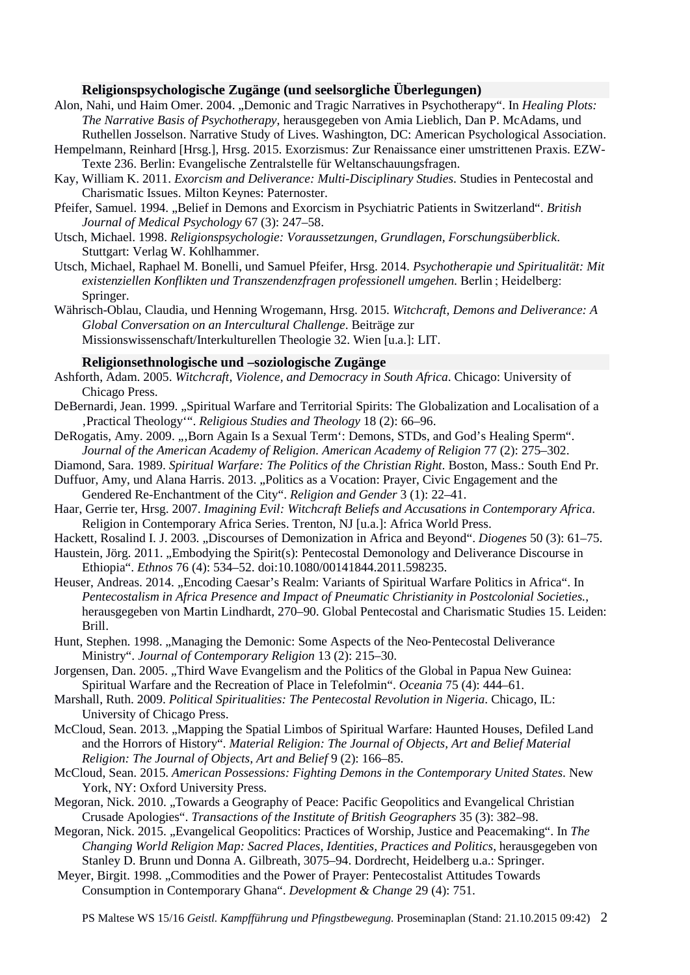### **Religionspsychologische Zugänge (und seelsorgliche Überlegungen)**

- Alon, Nahi, und Haim Omer. 2004. "Demonic and Tragic Narratives in Psychotherapy". In *Healing Plots: The Narrative Basis of Psychotherapy*, herausgegeben von Amia Lieblich, Dan P. McAdams, und Ruthellen Josselson. Narrative Study of Lives. Washington, DC: American Psychological Association.
- Hempelmann, Reinhard [Hrsg.], Hrsg. 2015. Exorzismus: Zur Renaissance einer umstrittenen Praxis. EZW-Texte 236. Berlin: Evangelische Zentralstelle für Weltanschauungsfragen.
- Kay, William K. 2011. *Exorcism and Deliverance: Multi-Disciplinary Studies*. Studies in Pentecostal and Charismatic Issues. Milton Keynes: Paternoster.
- Pfeifer, Samuel. 1994. "Belief in Demons and Exorcism in Psychiatric Patients in Switzerland". *British Journal of Medical Psychology* 67 (3): 247–58.
- Utsch, Michael. 1998. *Religionspsychologie: Voraussetzungen, Grundlagen, Forschungsüberblick*. Stuttgart: Verlag W. Kohlhammer.
- Utsch, Michael, Raphael M. Bonelli, und Samuel Pfeifer, Hrsg. 2014. *Psychotherapie und Spiritualität: Mit existenziellen Konflikten und Transzendenzfragen professionell umgehen.* Berlin ; Heidelberg: Springer.
- Währisch-Oblau, Claudia, und Henning Wrogemann, Hrsg. 2015. *Witchcraft, Demons and Deliverance: A Global Conversation on an Intercultural Challenge*. Beiträge zur Missionswissenschaft/Interkulturellen Theologie 32. Wien [u.a.]: LIT.

#### **Religionsethnologische und –soziologische Zugänge**

- Ashforth, Adam. 2005. *Witchcraft, Violence, and Democracy in South Africa*. Chicago: University of Chicago Press.
- DeBernardi, Jean. 1999. "Spiritual Warfare and Territorial Spirits: The Globalization and Localisation of a 'Practical Theology'". *Religious Studies and Theology* 18 (2): 66–96.
- DeRogatis, Amy. 2009. "Born Again Is a Sexual Term<sup>\*</sup>: Demons, STDs, and God's Healing Sperm<sup>\*\*</sup>. *Journal of the American Academy of Religion. American Academy of Religion* 77 (2): 275–302.
- Diamond, Sara. 1989. *Spiritual Warfare: The Politics of the Christian Right*. Boston, Mass.: South End Pr. Duffuor, Amy, und Alana Harris. 2013. "Politics as a Vocation: Prayer, Civic Engagement and the Gendered Re-Enchantment of the City". *Religion and Gender* 3 (1): 22–41.
- Haar, Gerrie ter, Hrsg. 2007. *Imagining Evil: Witchcraft Beliefs and Accusations in Contemporary Africa*. Religion in Contemporary Africa Series. Trenton, NJ [u.a.]: Africa World Press.
- Hackett, Rosalind I. J. 2003. "Discourses of Demonization in Africa and Beyond". *Diogenes* 50 (3): 61–75.
- Haustein, Jörg. 2011. "Embodying the Spirit(s): Pentecostal Demonology and Deliverance Discourse in Ethiopia". *Ethnos* 76 (4): 534–52. doi:10.1080/00141844.2011.598235.
- Heuser, Andreas. 2014. "Encoding Caesar's Realm: Variants of Spiritual Warfare Politics in Africa". In *Pentecostalism in Africa Presence and Impact of Pneumatic Christianity in Postcolonial Societies.*, herausgegeben von Martin Lindhardt, 270–90. Global Pentecostal and Charismatic Studies 15. Leiden: Brill.
- Hunt, Stephen. 1998. "Managing the Demonic: Some Aspects of the Neo-Pentecostal Deliverance Ministry". *Journal of Contemporary Religion* 13 (2): 215–30.
- Jorgensen, Dan. 2005. "Third Wave Evangelism and the Politics of the Global in Papua New Guinea: Spiritual Warfare and the Recreation of Place in Telefolmin". *Oceania* 75 (4): 444–61.
- Marshall, Ruth. 2009. *Political Spiritualities: The Pentecostal Revolution in Nigeria*. Chicago, IL: University of Chicago Press.
- McCloud, Sean. 2013. "Mapping the Spatial Limbos of Spiritual Warfare: Haunted Houses, Defiled Land and the Horrors of History". *Material Religion: The Journal of Objects, Art and Belief Material Religion: The Journal of Objects, Art and Belief* 9 (2): 166–85.
- McCloud, Sean. 2015. *American Possessions: Fighting Demons in the Contemporary United States*. New York, NY: Oxford University Press.
- Megoran, Nick. 2010. "Towards a Geography of Peace: Pacific Geopolitics and Evangelical Christian Crusade Apologies". *Transactions of the Institute of British Geographers* 35 (3): 382–98.
- Megoran, Nick. 2015. "Evangelical Geopolitics: Practices of Worship, Justice and Peacemaking". In *The Changing World Religion Map: Sacred Places, Identities, Practices and Politics*, herausgegeben von Stanley D. Brunn und Donna A. Gilbreath, 3075–94. Dordrecht, Heidelberg u.a.: Springer.
- Meyer, Birgit. 1998. "Commodities and the Power of Prayer: Pentecostalist Attitudes Towards Consumption in Contemporary Ghana". *Development & Change* 29 (4): 751.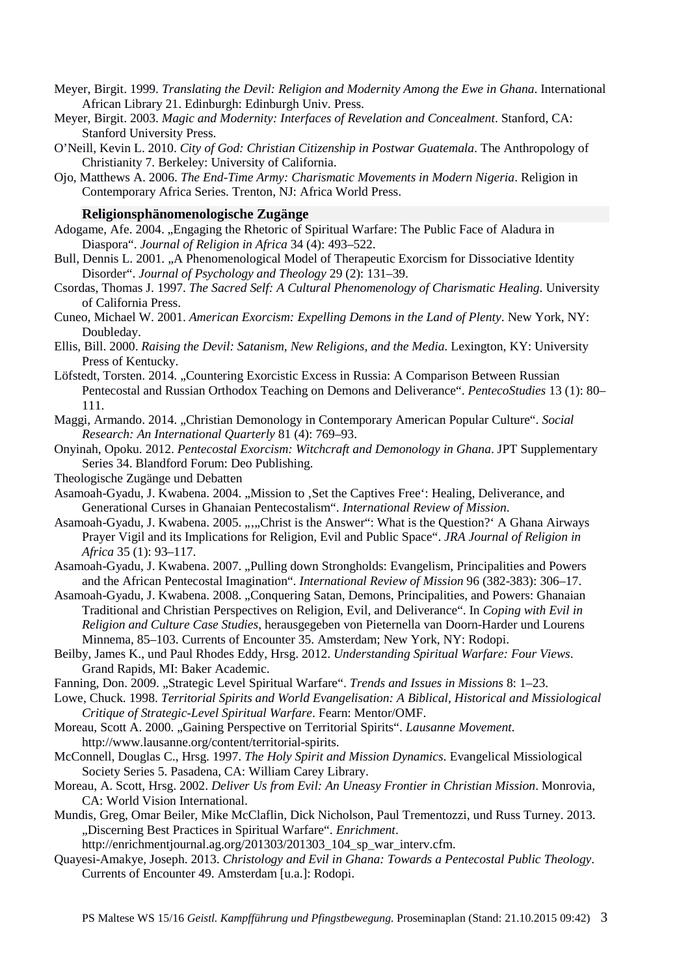- Meyer, Birgit. 1999. *Translating the Devil: Religion and Modernity Among the Ewe in Ghana*. International African Library 21. Edinburgh: Edinburgh Univ. Press.
- Meyer, Birgit. 2003. *Magic and Modernity: Interfaces of Revelation and Concealment*. Stanford, CA: Stanford University Press.
- O'Neill, Kevin L. 2010. *City of God: Christian Citizenship in Postwar Guatemala*. The Anthropology of Christianity 7. Berkeley: University of California.
- Ojo, Matthews A. 2006. *The End-Time Army: Charismatic Movements in Modern Nigeria*. Religion in Contemporary Africa Series. Trenton, NJ: Africa World Press.

#### **Religionsphänomenologische Zugänge**

- Adogame, Afe. 2004. "Engaging the Rhetoric of Spiritual Warfare: The Public Face of Aladura in Diaspora". *Journal of Religion in Africa* 34 (4): 493–522.
- Bull, Dennis L. 2001. "A Phenomenological Model of Therapeutic Exorcism for Dissociative Identity Disorder". *Journal of Psychology and Theology* 29 (2): 131–39.
- Csordas, Thomas J. 1997. *The Sacred Self: A Cultural Phenomenology of Charismatic Healing*. University of California Press.
- Cuneo, Michael W. 2001. *American Exorcism: Expelling Demons in the Land of Plenty*. New York, NY: Doubleday.
- Ellis, Bill. 2000. *Raising the Devil: Satanism, New Religions, and the Media*. Lexington, KY: University Press of Kentucky.
- Löfstedt, Torsten. 2014. "Countering Exorcistic Excess in Russia: A Comparison Between Russian Pentecostal and Russian Orthodox Teaching on Demons and Deliverance". *PentecoStudies* 13 (1): 80– 111.
- Maggi, Armando. 2014. "Christian Demonology in Contemporary American Popular Culture". *Social Research: An International Quarterly* 81 (4): 769–93.
- Onyinah, Opoku. 2012. *Pentecostal Exorcism: Witchcraft and Demonology in Ghana*. JPT Supplementary Series 34. Blandford Forum: Deo Publishing.
- Theologische Zugänge und Debatten
- Asamoah-Gyadu, J. Kwabena. 2004. "Mission to , Set the Captives Free": Healing, Deliverance, and Generational Curses in Ghanaian Pentecostalism". *International Review of Mission*.
- Asamoah-Gyadu, J. Kwabena. 2005. .....Christ is the Answer": What is the Question?' A Ghana Airways Prayer Vigil and its Implications for Religion, Evil and Public Space". *JRA Journal of Religion in Africa* 35 (1): 93–117.
- Asamoah-Gyadu, J. Kwabena. 2007. "Pulling down Strongholds: Evangelism, Principalities and Powers and the African Pentecostal Imagination". *International Review of Mission* 96 (382-383): 306–17.
- Asamoah-Gyadu, J. Kwabena. 2008. "Conquering Satan, Demons, Principalities, and Powers: Ghanaian Traditional and Christian Perspectives on Religion, Evil, and Deliverance". In *Coping with Evil in Religion and Culture Case Studies*, herausgegeben von Pieternella van Doorn-Harder und Lourens Minnema, 85–103. Currents of Encounter 35. Amsterdam; New York, NY: Rodopi.
- Beilby, James K., und Paul Rhodes Eddy, Hrsg. 2012. *Understanding Spiritual Warfare: Four Views*. Grand Rapids, MI: Baker Academic.
- Fanning, Don. 2009. "Strategic Level Spiritual Warfare". *Trends and Issues in Missions* 8: 1–23.
- Lowe, Chuck. 1998. *Territorial Spirits and World Evangelisation: A Biblical, Historical and Missiological Critique of Strategic-Level Spiritual Warfare*. Fearn: Mentor/OMF.
- Moreau, Scott A. 2000. "Gaining Perspective on Territorial Spirits". *Lausanne Movement*. http://www.lausanne.org/content/territorial-spirits.
- McConnell, Douglas C., Hrsg. 1997. *The Holy Spirit and Mission Dynamics*. Evangelical Missiological Society Series 5. Pasadena, CA: William Carey Library.
- Moreau, A. Scott, Hrsg. 2002. *Deliver Us from Evil: An Uneasy Frontier in Christian Mission*. Monrovia, CA: World Vision International.
- Mundis, Greg, Omar Beiler, Mike McClaflin, Dick Nicholson, Paul Trementozzi, und Russ Turney. 2013. "Discerning Best Practices in Spiritual Warfare". *Enrichment*.

http://enrichmentjournal.ag.org/201303/201303\_104\_sp\_war\_interv.cfm.

Quayesi-Amakye, Joseph. 2013. *Christology and Evil in Ghana: Towards a Pentecostal Public Theology*. Currents of Encounter 49. Amsterdam [u.a.]: Rodopi.